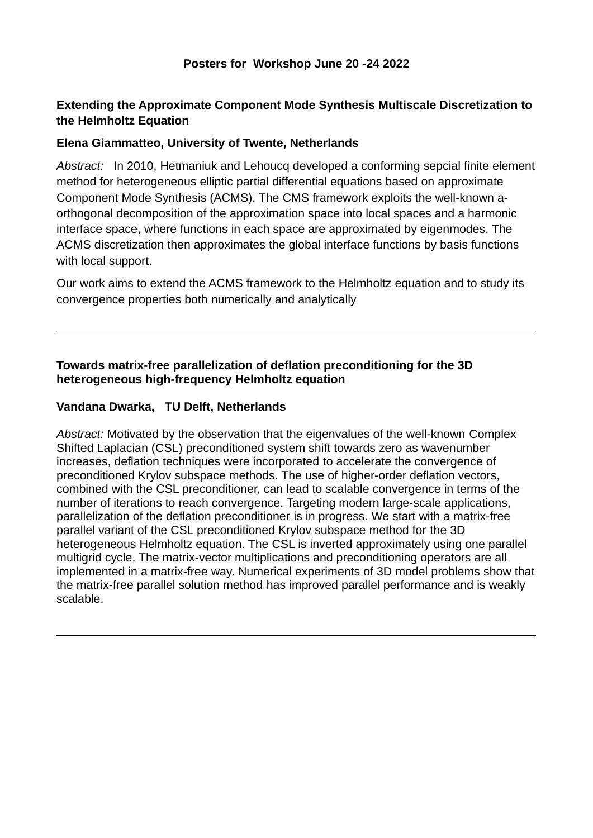# **Extending the Approximate Component Mode Synthesis Multiscale Discretization to the Helmholtz Equation**

### **Elena Giammatteo, University of Twente, Netherlands**

*Abstract:* In 2010, Hetmaniuk and Lehoucq developed a conforming sepcial finite element method for heterogeneous elliptic partial differential equations based on approximate Component Mode Synthesis (ACMS). The CMS framework exploits the well-known aorthogonal decomposition of the approximation space into local spaces and a harmonic interface space, where functions in each space are approximated by eigenmodes. The ACMS discretization then approximates the global interface functions by basis functions with local support.

Our work aims to extend the ACMS framework to the Helmholtz equation and to study its convergence properties both numerically and analytically

### **Towards matrix-free parallelization of deflation preconditioning for the 3D heterogeneous high-frequency Helmholtz equation**

#### **Vandana Dwarka, TU Delft, Netherlands**

*Abstract:* Motivated by the observation that the eigenvalues of the well-known Complex Shifted Laplacian (CSL) preconditioned system shift towards zero as wavenumber increases, deflation techniques were incorporated to accelerate the convergence of preconditioned Krylov subspace methods. The use of higher-order deflation vectors, combined with the CSL preconditioner, can lead to scalable convergence in terms of the number of iterations to reach convergence. Targeting modern large-scale applications, parallelization of the deflation preconditioner is in progress. We start with a matrix-free parallel variant of the CSL preconditioned Krylov subspace method for the 3D heterogeneous Helmholtz equation. The CSL is inverted approximately using one parallel multigrid cycle. The matrix-vector multiplications and preconditioning operators are all implemented in a matrix-free way. Numerical experiments of 3D model problems show that the matrix-free parallel solution method has improved parallel performance and is weakly scalable.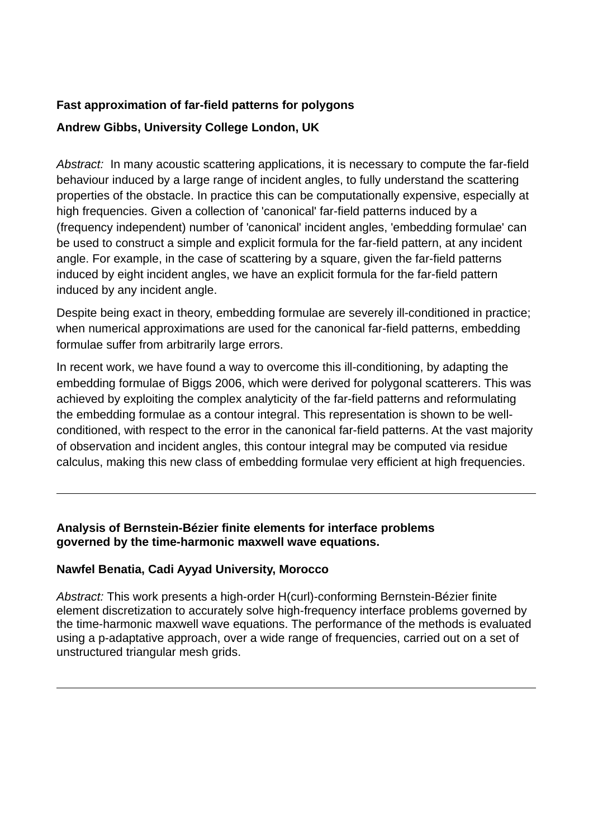# **Fast approximation of far-field patterns for polygons**

## **Andrew Gibbs, University College London, UK**

*Abstract:* In many acoustic scattering applications, it is necessary to compute the far-field behaviour induced by a large range of incident angles, to fully understand the scattering properties of the obstacle. In practice this can be computationally expensive, especially at high frequencies. Given a collection of 'canonical' far-field patterns induced by a (frequency independent) number of 'canonical' incident angles, 'embedding formulae' can be used to construct a simple and explicit formula for the far-field pattern, at any incident angle. For example, in the case of scattering by a square, given the far-field patterns induced by eight incident angles, we have an explicit formula for the far-field pattern induced by any incident angle.

Despite being exact in theory, embedding formulae are severely ill-conditioned in practice; when numerical approximations are used for the canonical far-field patterns, embedding formulae suffer from arbitrarily large errors.

In recent work, we have found a way to overcome this ill-conditioning, by adapting the embedding formulae of Biggs 2006, which were derived for polygonal scatterers. This was achieved by exploiting the complex analyticity of the far-field patterns and reformulating the embedding formulae as a contour integral. This representation is shown to be wellconditioned, with respect to the error in the canonical far-field patterns. At the vast majority of observation and incident angles, this contour integral may be computed via residue calculus, making this new class of embedding formulae very efficient at high frequencies.

## **Analysis of Bernstein-Bézier finite elements for interface problems governed by the time-harmonic maxwell wave equations.**

## **Nawfel Benatia, Cadi Ayyad University, Morocco**

*Abstract:* This work presents a high-order H(curl)-conforming Bernstein-Bézier finite element discretization to accurately solve high-frequency interface problems governed by the time-harmonic maxwell wave equations. The performance of the methods is evaluated using a p-adaptative approach, over a wide range of frequencies, carried out on a set of unstructured triangular mesh grids.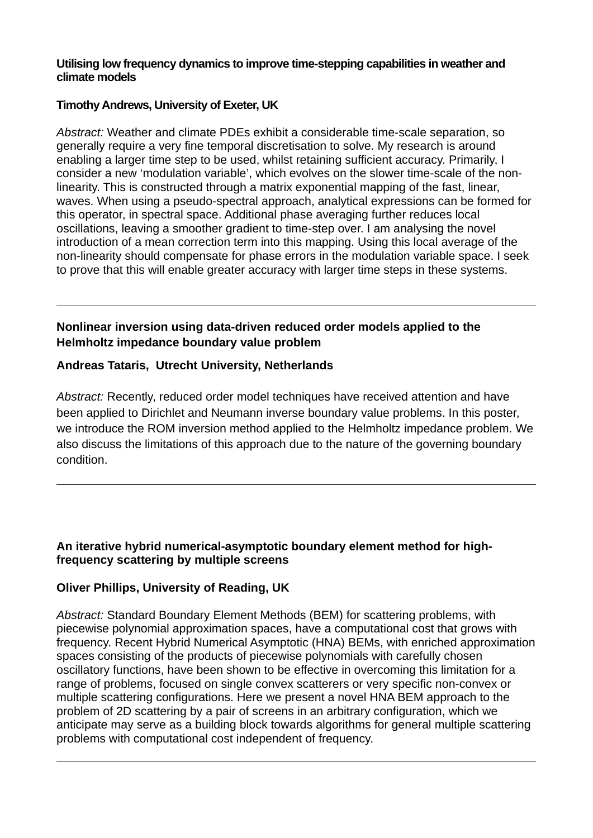#### **Utilising low frequency dynamics to improve time-stepping capabilities in weather and climate models**

### **Timothy Andrews, University of Exeter, UK**

*Abstract:* Weather and climate PDEs exhibit a considerable time-scale separation, so generally require a very fine temporal discretisation to solve. My research is around enabling a larger time step to be used, whilst retaining sufficient accuracy. Primarily, I consider a new 'modulation variable', which evolves on the slower time-scale of the nonlinearity. This is constructed through a matrix exponential mapping of the fast, linear, waves. When using a pseudo-spectral approach, analytical expressions can be formed for this operator, in spectral space. Additional phase averaging further reduces local oscillations, leaving a smoother gradient to time-step over. I am analysing the novel introduction of a mean correction term into this mapping. Using this local average of the non-linearity should compensate for phase errors in the modulation variable space. I seek to prove that this will enable greater accuracy with larger time steps in these systems.

# **Nonlinear inversion using data-driven reduced order models applied to the Helmholtz impedance boundary value problem**

## **Andreas Tataris, Utrecht University, Netherlands**

*Abstract:* Recently, reduced order model techniques have received attention and have been applied to Dirichlet and Neumann inverse boundary value problems. In this poster, we introduce the ROM inversion method applied to the Helmholtz impedance problem. We also discuss the limitations of this approach due to the nature of the governing boundary condition.

#### **An iterative hybrid numerical-asymptotic boundary element method for highfrequency scattering by multiple screens**

## **Oliver Phillips, University of Reading, UK**

*Abstract:* Standard Boundary Element Methods (BEM) for scattering problems, with piecewise polynomial approximation spaces, have a computational cost that grows with frequency. Recent Hybrid Numerical Asymptotic (HNA) BEMs, with enriched approximation spaces consisting of the products of piecewise polynomials with carefully chosen oscillatory functions, have been shown to be effective in overcoming this limitation for a range of problems, focused on single convex scatterers or very specific non-convex or multiple scattering configurations. Here we present a novel HNA BEM approach to the problem of 2D scattering by a pair of screens in an arbitrary configuration, which we anticipate may serve as a building block towards algorithms for general multiple scattering problems with computational cost independent of frequency.